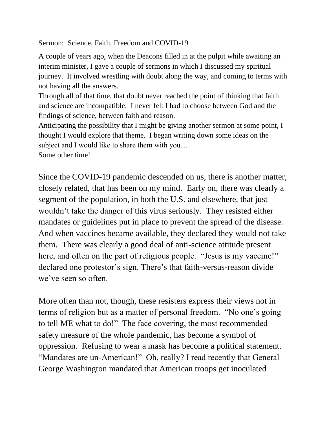Sermon: Science, Faith, Freedom and COVID-19

A couple of years ago, when the Deacons filled in at the pulpit while awaiting an interim minister, I gave a couple of sermons in which I discussed my spiritual journey. It involved wrestling with doubt along the way, and coming to terms with not having all the answers.

Through all of that time, that doubt never reached the point of thinking that faith and science are incompatible. I never felt I had to choose between God and the findings of science, between faith and reason.

Anticipating the possibility that I might be giving another sermon at some point, I thought I would explore that theme. I began writing down some ideas on the subject and I would like to share them with you…

Some other time!

Since the COVID-19 pandemic descended on us, there is another matter, closely related, that has been on my mind. Early on, there was clearly a segment of the population, in both the U.S. and elsewhere, that just wouldn't take the danger of this virus seriously. They resisted either mandates or guidelines put in place to prevent the spread of the disease. And when vaccines became available, they declared they would not take them. There was clearly a good deal of anti-science attitude present here, and often on the part of religious people. "Jesus is my vaccine!" declared one protestor's sign. There's that faith-versus-reason divide we've seen so often.

More often than not, though, these resisters express their views not in terms of religion but as a matter of personal freedom. "No one's going to tell ME what to do!" The face covering, the most recommended safety measure of the whole pandemic, has become a symbol of oppression. Refusing to wear a mask has become a political statement. "Mandates are un-American!" Oh, really? I read recently that General George Washington mandated that American troops get inoculated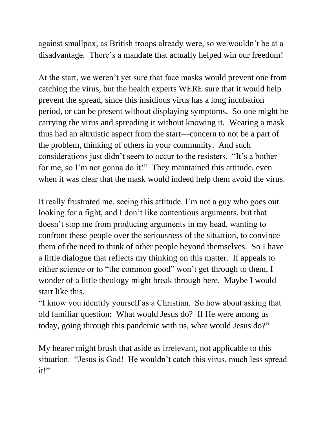against smallpox, as British troops already were, so we wouldn't be at a disadvantage. There's a mandate that actually helped win our freedom!

At the start, we weren't yet sure that face masks would prevent one from catching the virus, but the health experts WERE sure that it would help prevent the spread, since this insidious virus has a long incubation period, or can be present without displaying symptoms. So one might be carrying the virus and spreading it without knowing it. Wearing a mask thus had an altruistic aspect from the start—concern to not be a part of the problem, thinking of others in your community. And such considerations just didn't seem to occur to the resisters. "It's a bother for me, so I'm not gonna do it!" They maintained this attitude, even when it was clear that the mask would indeed help them avoid the virus.

It really frustrated me, seeing this attitude. I'm not a guy who goes out looking for a fight, and I don't like contentious arguments, but that doesn't stop me from producing arguments in my head, wanting to confront these people over the seriousness of the situation, to convince them of the need to think of other people beyond themselves. So I have a little dialogue that reflects my thinking on this matter. If appeals to either science or to "the common good" won't get through to them, I wonder of a little theology might break through here. Maybe I would start like this.

"I know you identify yourself as a Christian. So how about asking that old familiar question: What would Jesus do? If He were among us today, going through this pandemic with us, what would Jesus do?"

My hearer might brush that aside as irrelevant, not applicable to this situation. "Jesus is God! He wouldn't catch this virus, much less spread it!"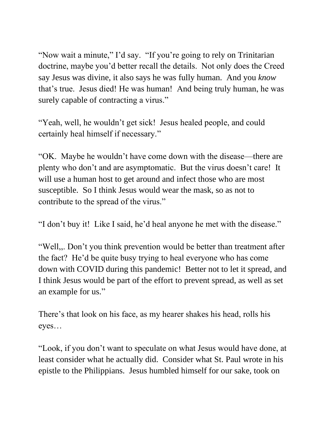"Now wait a minute," I'd say. "If you're going to rely on Trinitarian" doctrine, maybe you'd better recall the details. Not only does the Creed say Jesus was divine, it also says he was fully human. And you *know* that's true. Jesus died! He was human! And being truly human, he was surely capable of contracting a virus."

"Yeah, well, he wouldn't get sick! Jesus healed people, and could certainly heal himself if necessary."

"OK. Maybe he wouldn't have come down with the disease—there are plenty who don't and are asymptomatic. But the virus doesn't care! It will use a human host to get around and infect those who are most susceptible. So I think Jesus would wear the mask, so as not to contribute to the spread of the virus."

"I don't buy it! Like I said, he'd heal anyone he met with the disease."

"Well,,. Don't you think prevention would be better than treatment after the fact? He'd be quite busy trying to heal everyone who has come down with COVID during this pandemic! Better not to let it spread, and I think Jesus would be part of the effort to prevent spread, as well as set an example for us."

There's that look on his face, as my hearer shakes his head, rolls his eyes…

"Look, if you don't want to speculate on what Jesus would have done, at least consider what he actually did. Consider what St. Paul wrote in his epistle to the Philippians. Jesus humbled himself for our sake, took on